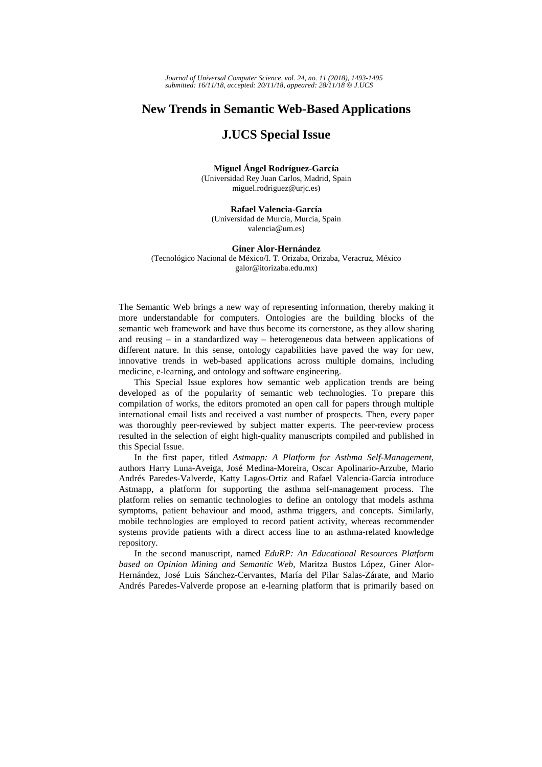## **New Trends in Semantic Web-Based Applications**

## **J.UCS Special Issue**

**Miguel Ángel Rodríguez-García**  (Universidad Rey Juan Carlos, Madrid, Spain miguel.rodriguez@urjc.es)

**Rafael Valencia-García**  (Universidad de Murcia, Murcia, Spain valencia@um.es)

## **Giner Alor-Hernández**

(Tecnológico Nacional de México/I. T. Orizaba, Orizaba, Veracruz, México galor@itorizaba.edu.mx)

The Semantic Web brings a new way of representing information, thereby making it more understandable for computers. Ontologies are the building blocks of the semantic web framework and have thus become its cornerstone, as they allow sharing and reusing – in a standardized way – heterogeneous data between applications of different nature. In this sense, ontology capabilities have paved the way for new, innovative trends in web-based applications across multiple domains, including medicine, e-learning, and ontology and software engineering.

This Special Issue explores how semantic web application trends are being developed as of the popularity of semantic web technologies. To prepare this compilation of works, the editors promoted an open call for papers through multiple international email lists and received a vast number of prospects. Then, every paper was thoroughly peer-reviewed by subject matter experts. The peer-review process resulted in the selection of eight high-quality manuscripts compiled and published in this Special Issue.

In the first paper, titled *Astmapp: A Platform for Asthma Self-Management*, authors Harry Luna-Aveiga, José Medina-Moreira, Oscar Apolinario-Arzube, Mario Andrés Paredes-Valverde, Katty Lagos-Ortiz and Rafael Valencia-García introduce Astmapp, a platform for supporting the asthma self-management process. The platform relies on semantic technologies to define an ontology that models asthma symptoms, patient behaviour and mood, asthma triggers, and concepts. Similarly, mobile technologies are employed to record patient activity, whereas recommender systems provide patients with a direct access line to an asthma-related knowledge repository.

In the second manuscript, named *EduRP: An Educational Resources Platform based on Opinion Mining and Semantic Web*, Maritza Bustos López, Giner Alor-Hernández, José Luis Sánchez-Cervantes, María del Pilar Salas-Zárate, and Mario Andrés Paredes-Valverde propose an e-learning platform that is primarily based on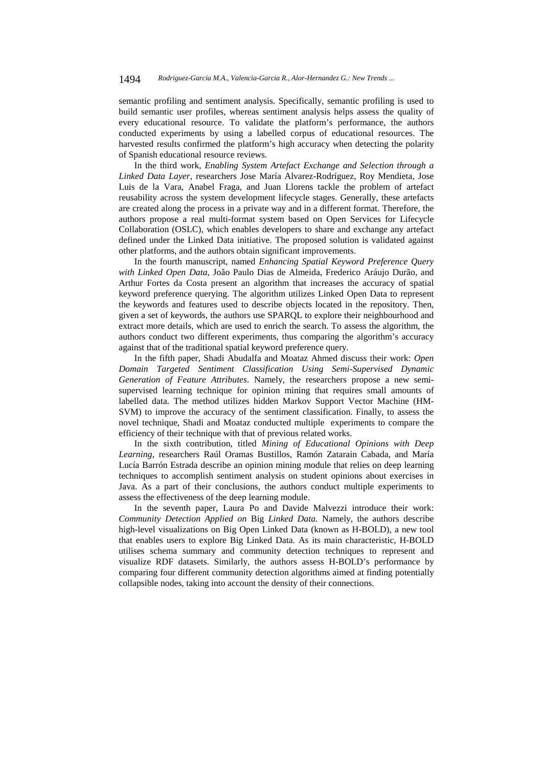semantic profiling and sentiment analysis. Specifically, semantic profiling is used to build semantic user profiles, whereas sentiment analysis helps assess the quality of every educational resource. To validate the platform's performance, the authors conducted experiments by using a labelled corpus of educational resources. The harvested results confirmed the platform's high accuracy when detecting the polarity of Spanish educational resource reviews.

In the third work*, Enabling System Artefact Exchange and Selection through a Linked Data Layer*, researchers Jose María Alvarez-Rodríguez, Roy Mendieta, Jose Luis de la Vara, Anabel Fraga, and Juan Llorens tackle the problem of artefact reusability across the system development lifecycle stages. Generally, these artefacts are created along the process in a private way and in a different format. Therefore, the authors propose a real multi-format system based on Open Services for Lifecycle Collaboration (OSLC), which enables developers to share and exchange any artefact defined under the Linked Data initiative. The proposed solution is validated against other platforms, and the authors obtain significant improvements.

In the fourth manuscript, named *Enhancing Spatial Keyword Preference Query with Linked Open Data*, João Paulo Dias de Almeida, Frederico Aráujo Durão, and Arthur Fortes da Costa present an algorithm that increases the accuracy of spatial keyword preference querying. The algorithm utilizes Linked Open Data to represent the keywords and features used to describe objects located in the repository. Then, given a set of keywords, the authors use SPARQL to explore their neighbourhood and extract more details, which are used to enrich the search. To assess the algorithm, the authors conduct two different experiments, thus comparing the algorithm's accuracy against that of the traditional spatial keyword preference query.

In the fifth paper, Shadi Abudalfa and Moataz Ahmed discuss their work: *Open Domain Targeted Sentiment Classification Using Semi-Supervised Dynamic Generation of Feature Attributes*. Namely, the researchers propose a new semisupervised learning technique for opinion mining that requires small amounts of labelled data. The method utilizes hidden Markov Support Vector Machine (HM-SVM) to improve the accuracy of the sentiment classification. Finally, to assess the novel technique, Shadi and Moataz conducted multiple experiments to compare the efficiency of their technique with that of previous related works.

In the sixth contribution, titled *Mining of Educational Opinions with Deep Learning*, researchers Raúl Oramas Bustillos, Ramón Zatarain Cabada, and María Lucía Barrón Estrada describe an opinion mining module that relies on deep learning techniques to accomplish sentiment analysis on student opinions about exercises in Java. As a part of their conclusions, the authors conduct multiple experiments to assess the effectiveness of the deep learning module.

In the seventh paper, Laura Po and Davide Malvezzi introduce their work: *Community Detection Applied on* Big *Linked Data.* Namely, the authors describe high-level visualizations on Big Open Linked Data (known as H-BOLD), a new tool that enables users to explore Big Linked Data. As its main characteristic, H-BOLD utilises schema summary and community detection techniques to represent and visualize RDF datasets. Similarly, the authors assess H-BOLD's performance by comparing four different community detection algorithms aimed at finding potentially collapsible nodes, taking into account the density of their connections.